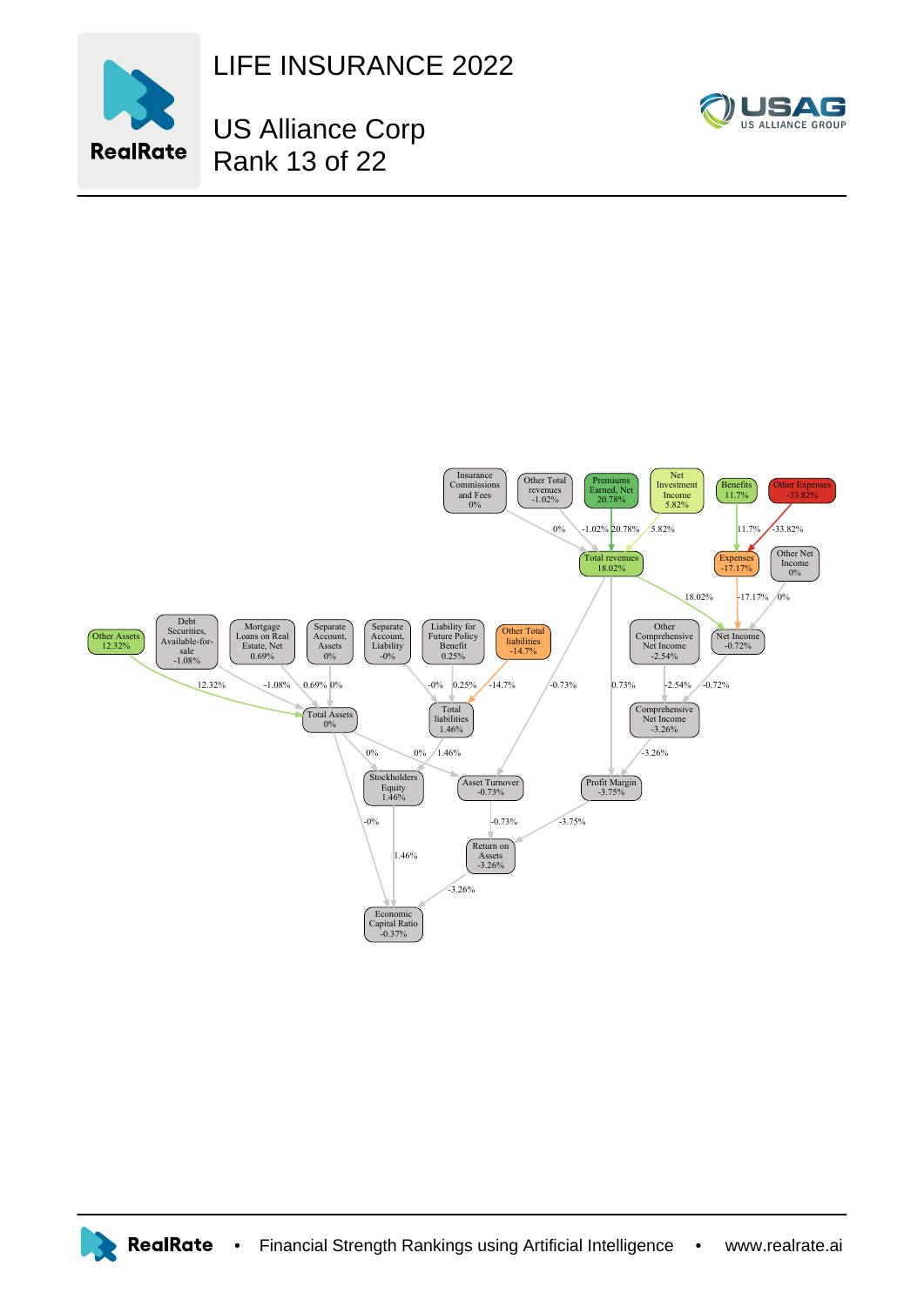

LIFE INSURANCE 2022



US Alliance Corp Rank 13 of 22